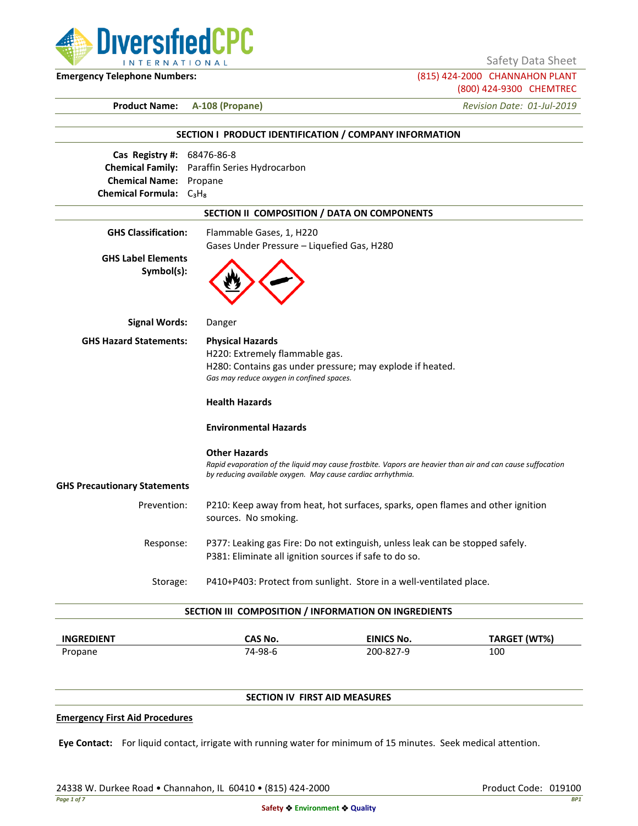

Safety Data Sheet

**Emergency Telephone Numbers:** (815) 424-2000 CHANNAHON PLANT (800) 424-9300 CHEMTREC

**Product Name: A-108 (Propane)** *Revision Date: 01-Jul-2019*

|                                                 | SECTION I PRODUCT IDENTIFICATION / COMPANY INFORMATION      |                                                                                                            |                     |
|-------------------------------------------------|-------------------------------------------------------------|------------------------------------------------------------------------------------------------------------|---------------------|
| Cas Registry #:                                 | 68476-86-8                                                  |                                                                                                            |                     |
|                                                 | Chemical Family: Paraffin Series Hydrocarbon                |                                                                                                            |                     |
| <b>Chemical Name:</b> Propane                   |                                                             |                                                                                                            |                     |
| Chemical Formula: C <sub>3</sub> H <sub>8</sub> |                                                             |                                                                                                            |                     |
|                                                 | SECTION II COMPOSITION / DATA ON COMPONENTS                 |                                                                                                            |                     |
| <b>GHS Classification:</b>                      | Flammable Gases, 1, H220                                    |                                                                                                            |                     |
|                                                 | Gases Under Pressure - Liquefied Gas, H280                  |                                                                                                            |                     |
| <b>GHS Label Elements</b>                       |                                                             |                                                                                                            |                     |
| Symbol(s):                                      |                                                             |                                                                                                            |                     |
| Signal Words:                                   | Danger                                                      |                                                                                                            |                     |
| <b>GHS Hazard Statements:</b>                   | <b>Physical Hazards</b>                                     |                                                                                                            |                     |
|                                                 | H220: Extremely flammable gas.                              |                                                                                                            |                     |
|                                                 |                                                             | H280: Contains gas under pressure; may explode if heated.                                                  |                     |
|                                                 | Gas may reduce oxygen in confined spaces.                   |                                                                                                            |                     |
|                                                 | <b>Health Hazards</b>                                       |                                                                                                            |                     |
|                                                 | <b>Environmental Hazards</b>                                |                                                                                                            |                     |
|                                                 | <b>Other Hazards</b>                                        |                                                                                                            |                     |
|                                                 | by reducing available oxygen. May cause cardiac arrhythmia. | Rapid evaporation of the liquid may cause frostbite. Vapors are heavier than air and can cause suffocation |                     |
| <b>GHS Precautionary Statements</b>             |                                                             |                                                                                                            |                     |
| Prevention:                                     | sources. No smoking.                                        | P210: Keep away from heat, hot surfaces, sparks, open flames and other ignition                            |                     |
| Response:                                       |                                                             | P377: Leaking gas Fire: Do not extinguish, unless leak can be stopped safely.                              |                     |
|                                                 | P381: Eliminate all ignition sources if safe to do so.      |                                                                                                            |                     |
| Storage:                                        |                                                             | P410+P403: Protect from sunlight. Store in a well-ventilated place.                                        |                     |
|                                                 | SECTION III COMPOSITION / INFORMATION ON INGREDIENTS        |                                                                                                            |                     |
| <b>INGREDIENT</b>                               | CAS No.                                                     | <b>EINICS No.</b>                                                                                          | <b>TARGET (WT%)</b> |

# Propane 200-827-9 200-827-9 200-827-9 200-827-9 200-827-9 200-827-9 200-827-9 200-

# **SECTION IV FIRST AID MEASURES**

## **Emergency First Aid Procedures**

**Eye Contact:** For liquid contact, irrigate with running water for minimum of 15 minutes. Seek medical attention.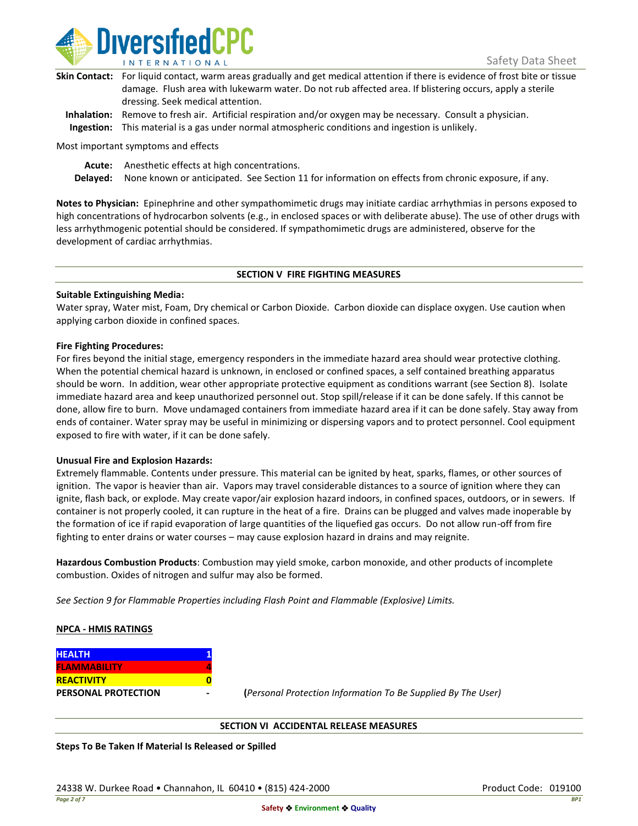

| Skin Contact: For liquid contact, warm areas gradually and get medical attention if there is evidence of frost bite or tissue |
|-------------------------------------------------------------------------------------------------------------------------------|
| damage. Flush area with lukewarm water. Do not rub affected area. If blistering occurs, apply a sterile                       |
| dressing. Seek medical attention.                                                                                             |
|                                                                                                                               |

**Inhalation:** Remove to fresh air. Artificial respiration and/or oxygen may be necessary. Consult a physician. **Ingestion:** This material is a gas under normal atmospheric conditions and ingestion is unlikely.

Most important symptoms and effects

**Acute:** Anesthetic effects at high concentrations.

**Delayed:** None known or anticipated. See Section 11 for information on effects from chronic exposure, if any.

**Notes to Physician:** Epinephrine and other sympathomimetic drugs may initiate cardiac arrhythmias in persons exposed to high concentrations of hydrocarbon solvents (e.g., in enclosed spaces or with deliberate abuse). The use of other drugs with less arrhythmogenic potential should be considered. If sympathomimetic drugs are administered, observe for the development of cardiac arrhythmias.

## **SECTION V FIRE FIGHTING MEASURES**

## **Suitable Extinguishing Media:**

Water spray, Water mist, Foam, Dry chemical or Carbon Dioxide. Carbon dioxide can displace oxygen. Use caution when applying carbon dioxide in confined spaces.

## **Fire Fighting Procedures:**

For fires beyond the initial stage, emergency responders in the immediate hazard area should wear protective clothing. When the potential chemical hazard is unknown, in enclosed or confined spaces, a self contained breathing apparatus should be worn. In addition, wear other appropriate protective equipment as conditions warrant (see Section 8). Isolate immediate hazard area and keep unauthorized personnel out. Stop spill/release if it can be done safely. If this cannot be done, allow fire to burn. Move undamaged containers from immediate hazard area if it can be done safely. Stay away from ends of container. Water spray may be useful in minimizing or dispersing vapors and to protect personnel. Cool equipment exposed to fire with water, if it can be done safely.

## **Unusual Fire and Explosion Hazards:**

Extremely flammable. Contents under pressure. This material can be ignited by heat, sparks, flames, or other sources of ignition. The vapor is heavier than air. Vapors may travel considerable distances to a source of ignition where they can ignite, flash back, or explode. May create vapor/air explosion hazard indoors, in confined spaces, outdoors, or in sewers. If container is not properly cooled, it can rupture in the heat of a fire. Drains can be plugged and valves made inoperable by the formation of ice if rapid evaporation of large quantities of the liquefied gas occurs. Do not allow run-off from fire fighting to enter drains or water courses – may cause explosion hazard in drains and may reignite.

**Hazardous Combustion Products**: Combustion may yield smoke, carbon monoxide, and other products of incomplete combustion. Oxides of nitrogen and sulfur may also be formed.

*See Section 9 for Flammable Properties including Flash Point and Flammable (Explosive) Limits.*

## **NPCA - HMIS RATINGS**

| <b>HEALTH</b>              |  |
|----------------------------|--|
| <b>FLAMMABILITY</b>        |  |
| <b>REACTIVITY</b>          |  |
| <b>PERSONAL PROTECTION</b> |  |

**PERSONAL PROTECTION - (***Personal Protection Information To Be Supplied By The User)*

## **SECTION VI ACCIDENTAL RELEASE MEASURES**

**Steps To Be Taken If Material Is Released or Spilled**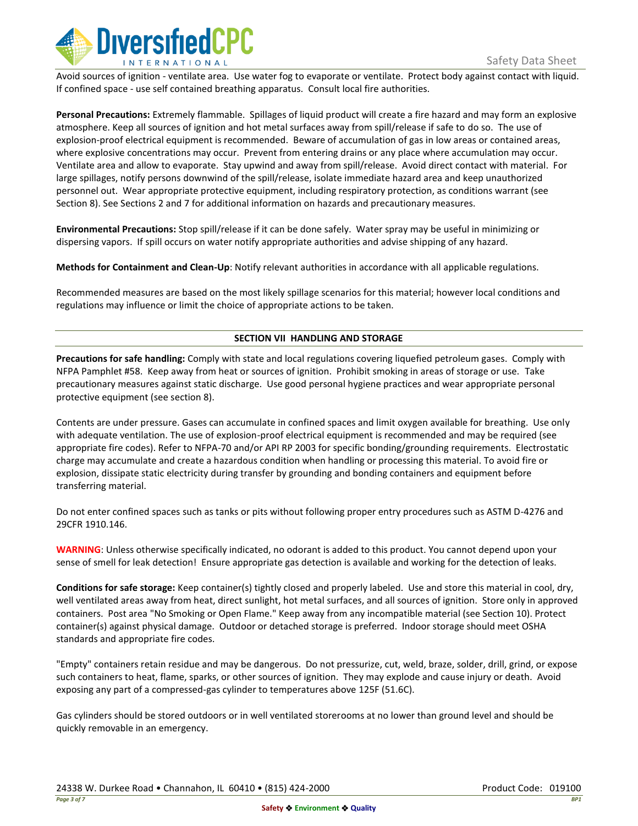

Avoid sources of ignition - ventilate area. Use water fog to evaporate or ventilate. Protect body against contact with liquid. If confined space - use self contained breathing apparatus. Consult local fire authorities.

**Personal Precautions:** Extremely flammable. Spillages of liquid product will create a fire hazard and may form an explosive atmosphere. Keep all sources of ignition and hot metal surfaces away from spill/release if safe to do so. The use of explosion-proof electrical equipment is recommended. Beware of accumulation of gas in low areas or contained areas, where explosive concentrations may occur. Prevent from entering drains or any place where accumulation may occur. Ventilate area and allow to evaporate. Stay upwind and away from spill/release. Avoid direct contact with material. For large spillages, notify persons downwind of the spill/release, isolate immediate hazard area and keep unauthorized personnel out. Wear appropriate protective equipment, including respiratory protection, as conditions warrant (see Section 8). See Sections 2 and 7 for additional information on hazards and precautionary measures.

**Environmental Precautions:** Stop spill/release if it can be done safely. Water spray may be useful in minimizing or dispersing vapors. If spill occurs on water notify appropriate authorities and advise shipping of any hazard.

**Methods for Containment and Clean-Up**: Notify relevant authorities in accordance with all applicable regulations.

Recommended measures are based on the most likely spillage scenarios for this material; however local conditions and regulations may influence or limit the choice of appropriate actions to be taken.

## **SECTION VII HANDLING AND STORAGE**

**Precautions for safe handling:** Comply with state and local regulations covering liquefied petroleum gases. Comply with NFPA Pamphlet #58. Keep away from heat or sources of ignition. Prohibit smoking in areas of storage or use. Take precautionary measures against static discharge. Use good personal hygiene practices and wear appropriate personal protective equipment (see section 8).

Contents are under pressure. Gases can accumulate in confined spaces and limit oxygen available for breathing. Use only with adequate ventilation. The use of explosion-proof electrical equipment is recommended and may be required (see appropriate fire codes). Refer to NFPA-70 and/or API RP 2003 for specific bonding/grounding requirements. Electrostatic charge may accumulate and create a hazardous condition when handling or processing this material. To avoid fire or explosion, dissipate static electricity during transfer by grounding and bonding containers and equipment before transferring material.

Do not enter confined spaces such as tanks or pits without following proper entry procedures such as ASTM D-4276 and 29CFR 1910.146.

**WARNING**: Unless otherwise specifically indicated, no odorant is added to this product. You cannot depend upon your sense of smell for leak detection! Ensure appropriate gas detection is available and working for the detection of leaks.

**Conditions for safe storage:** Keep container(s) tightly closed and properly labeled. Use and store this material in cool, dry, well ventilated areas away from heat, direct sunlight, hot metal surfaces, and all sources of ignition. Store only in approved containers. Post area "No Smoking or Open Flame." Keep away from any incompatible material (see Section 10). Protect container(s) against physical damage. Outdoor or detached storage is preferred. Indoor storage should meet OSHA standards and appropriate fire codes.

"Empty" containers retain residue and may be dangerous. Do not pressurize, cut, weld, braze, solder, drill, grind, or expose such containers to heat, flame, sparks, or other sources of ignition. They may explode and cause injury or death. Avoid exposing any part of a compressed-gas cylinder to temperatures above 125F (51.6C).

Gas cylinders should be stored outdoors or in well ventilated storerooms at no lower than ground level and should be quickly removable in an emergency.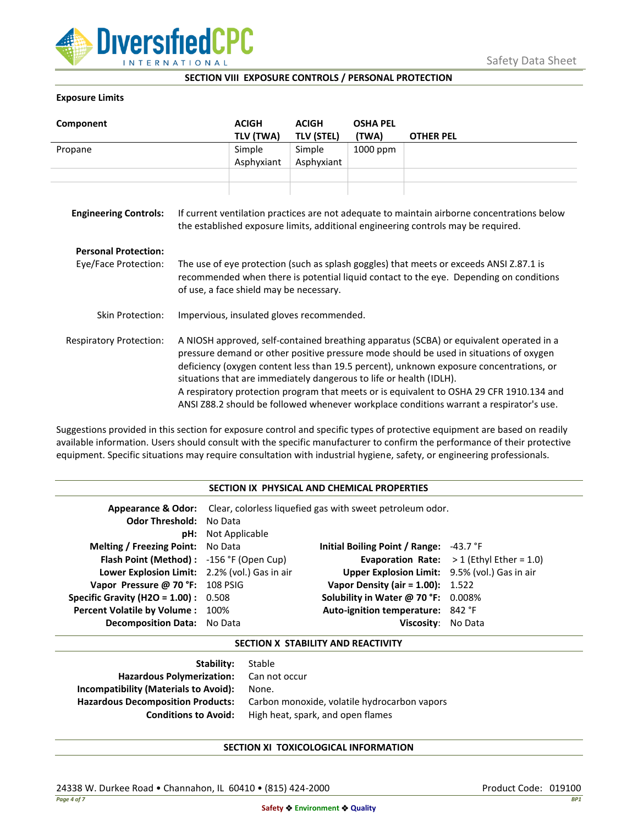

## **SECTION VIII EXPOSURE CONTROLS / PERSONAL PROTECTION**

## **Exposure Limits**

| Component                                           |                                                                                                                                                                                                                                                                                                                                                                                                                                                                                                                                            | <b>ACIGH</b><br>TLV (TWA) | <b>ACIGH</b><br><b>TLV (STEL)</b> | <b>OSHA PEL</b><br>(TWA) | <b>OTHER PEL</b>                                                                                                                                                                 |
|-----------------------------------------------------|--------------------------------------------------------------------------------------------------------------------------------------------------------------------------------------------------------------------------------------------------------------------------------------------------------------------------------------------------------------------------------------------------------------------------------------------------------------------------------------------------------------------------------------------|---------------------------|-----------------------------------|--------------------------|----------------------------------------------------------------------------------------------------------------------------------------------------------------------------------|
| Propane                                             |                                                                                                                                                                                                                                                                                                                                                                                                                                                                                                                                            | Simple<br>Asphyxiant      | Simple<br>Asphyxiant              | 1000 ppm                 |                                                                                                                                                                                  |
| <b>Engineering Controls:</b>                        |                                                                                                                                                                                                                                                                                                                                                                                                                                                                                                                                            |                           |                                   |                          | If current ventilation practices are not adequate to maintain airborne concentrations below<br>the established exposure limits, additional engineering controls may be required. |
| <b>Personal Protection:</b><br>Eye/Face Protection: | The use of eye protection (such as splash goggles) that meets or exceeds ANSI Z.87.1 is<br>recommended when there is potential liquid contact to the eye. Depending on conditions<br>of use, a face shield may be necessary.                                                                                                                                                                                                                                                                                                               |                           |                                   |                          |                                                                                                                                                                                  |
| Skin Protection:                                    | Impervious, insulated gloves recommended.                                                                                                                                                                                                                                                                                                                                                                                                                                                                                                  |                           |                                   |                          |                                                                                                                                                                                  |
| <b>Respiratory Protection:</b>                      | A NIOSH approved, self-contained breathing apparatus (SCBA) or equivalent operated in a<br>pressure demand or other positive pressure mode should be used in situations of oxygen<br>deficiency (oxygen content less than 19.5 percent), unknown exposure concentrations, or<br>situations that are immediately dangerous to life or health (IDLH).<br>A respiratory protection program that meets or is equivalent to OSHA 29 CFR 1910.134 and<br>ANSI Z88.2 should be followed whenever workplace conditions warrant a respirator's use. |                           |                                   |                          |                                                                                                                                                                                  |

Suggestions provided in this section for exposure control and specific types of protective equipment are based on readily available information. Users should consult with the specific manufacturer to confirm the performance of their protective equipment. Specific situations may require consultation with industrial hygiene, safety, or engineering professionals.

## **SECTION IX PHYSICAL AND CHEMICAL PROPERTIES**

| <b>Odor Threshold: No Data</b>                | <b>pH:</b> Not Applicable | <b>Appearance &amp; Odor:</b> Clear, colorless liquefied gas with sweet petroleum odor. |                                                    |
|-----------------------------------------------|---------------------------|-----------------------------------------------------------------------------------------|----------------------------------------------------|
| <b>Melting / Freezing Point:</b> No Data      |                           | Initial Boiling Point / Range: $-43.7$ °F                                               |                                                    |
| Flash Point (Method): -156 °F (Open Cup)      |                           |                                                                                         | <b>Evaporation Rate:</b> $> 1$ (Ethyl Ether = 1.0) |
| Lower Explosion Limit: 2.2% (vol.) Gas in air |                           | Upper Explosion Limit: 9.5% (vol.) Gas in air                                           |                                                    |
| Vapor Pressure @ 70 °F: 108 PSIG              |                           | <b>Vapor Density (air = 1.00):</b> 1.522                                                |                                                    |
| <b>Specific Gravity (H2O = 1.00):</b> $0.508$ |                           | Solubility in Water @ 70 °F: 0.008%                                                     |                                                    |
| Percent Volatile by Volume: 100%              |                           | Auto-ignition temperature: 842 °F                                                       |                                                    |
| <b>Decomposition Data:</b> No Data            |                           | Viscosity: No Data                                                                      |                                                    |

## **SECTION X STABILITY AND REACTIVITY**

| Stable                                       |
|----------------------------------------------|
| Hazardous Polymerization: Can not occur      |
| None.                                        |
| Carbon monoxide, volatile hydrocarbon vapors |
| High heat, spark, and open flames            |
|                                              |

## **SECTION XI TOXICOLOGICAL INFORMATION**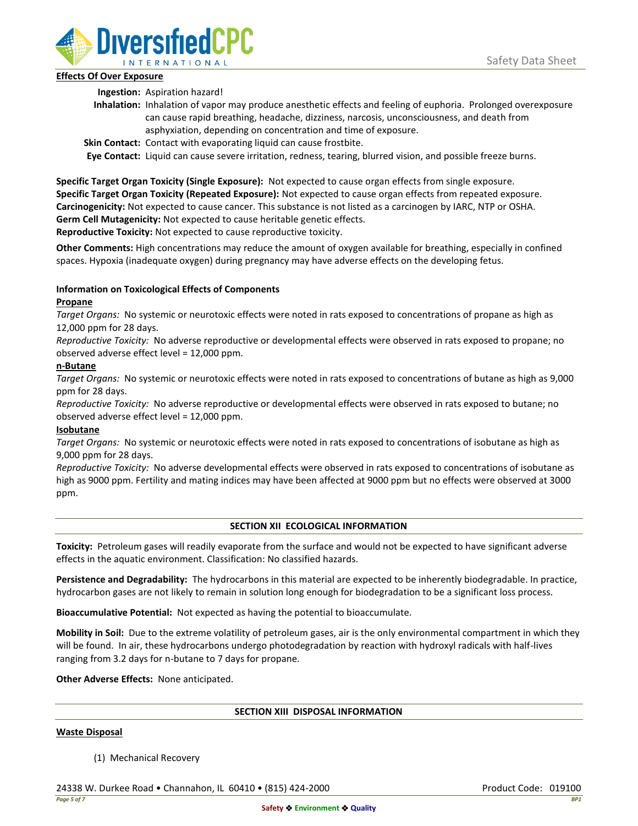

## **Effects Of Over Exposure**

**Ingestion:** Aspiration hazard!

- **Inhalation:** Inhalation of vapor may produce anesthetic effects and feeling of euphoria. Prolonged overexposure can cause rapid breathing, headache, dizziness, narcosis, unconsciousness, and death from asphyxiation, depending on concentration and time of exposure.
- **Skin Contact:** Contact with evaporating liquid can cause frostbite.

**Eye Contact:** Liquid can cause severe irritation, redness, tearing, blurred vision, and possible freeze burns.

**Specific Target Organ Toxicity (Single Exposure):** Not expected to cause organ effects from single exposure. **Specific Target Organ Toxicity (Repeated Exposure):** Not expected to cause organ effects from repeated exposure. **Carcinogenicity:** Not expected to cause cancer. This substance is not listed as a carcinogen by IARC, NTP or OSHA. **Germ Cell Mutagenicity:** Not expected to cause heritable genetic effects.

**Reproductive Toxicity:** Not expected to cause reproductive toxicity.

**Other Comments:** High concentrations may reduce the amount of oxygen available for breathing, especially in confined spaces. Hypoxia (inadequate oxygen) during pregnancy may have adverse effects on the developing fetus.

# **Information on Toxicological Effects of Components**

## **Propane**

*Target Organs:* No systemic or neurotoxic effects were noted in rats exposed to concentrations of propane as high as 12,000 ppm for 28 days.

*Reproductive Toxicity:* No adverse reproductive or developmental effects were observed in rats exposed to propane; no observed adverse effect level = 12,000 ppm.

## **n-Butane**

*Target Organs:* No systemic or neurotoxic effects were noted in rats exposed to concentrations of butane as high as 9,000 ppm for 28 days.

*Reproductive Toxicity:* No adverse reproductive or developmental effects were observed in rats exposed to butane; no observed adverse effect level = 12,000 ppm.

# **Isobutane**

*Target Organs:* No systemic or neurotoxic effects were noted in rats exposed to concentrations of isobutane as high as 9,000 ppm for 28 days.

*Reproductive Toxicity:* No adverse developmental effects were observed in rats exposed to concentrations of isobutane as high as 9000 ppm. Fertility and mating indices may have been affected at 9000 ppm but no effects were observed at 3000 ppm.

# **SECTION XII ECOLOGICAL INFORMATION**

**Toxicity:** Petroleum gases will readily evaporate from the surface and would not be expected to have significant adverse effects in the aquatic environment. Classification: No classified hazards.

**Persistence and Degradability:** The hydrocarbons in this material are expected to be inherently biodegradable. In practice, hydrocarbon gases are not likely to remain in solution long enough for biodegradation to be a significant loss process.

**Bioaccumulative Potential:** Not expected as having the potential to bioaccumulate.

**Mobility in Soil:** Due to the extreme volatility of petroleum gases, air is the only environmental compartment in which they will be found. In air, these hydrocarbons undergo photodegradation by reaction with hydroxyl radicals with half-lives ranging from 3.2 days for n-butane to 7 days for propane.

**Other Adverse Effects:** None anticipated.

## **SECTION XIII DISPOSAL INFORMATION**

## **Waste Disposal**

(1) Mechanical Recovery

24338 W. Durkee Road • Channahon, IL 60410 • (815) 424-2000 Product Code: 019100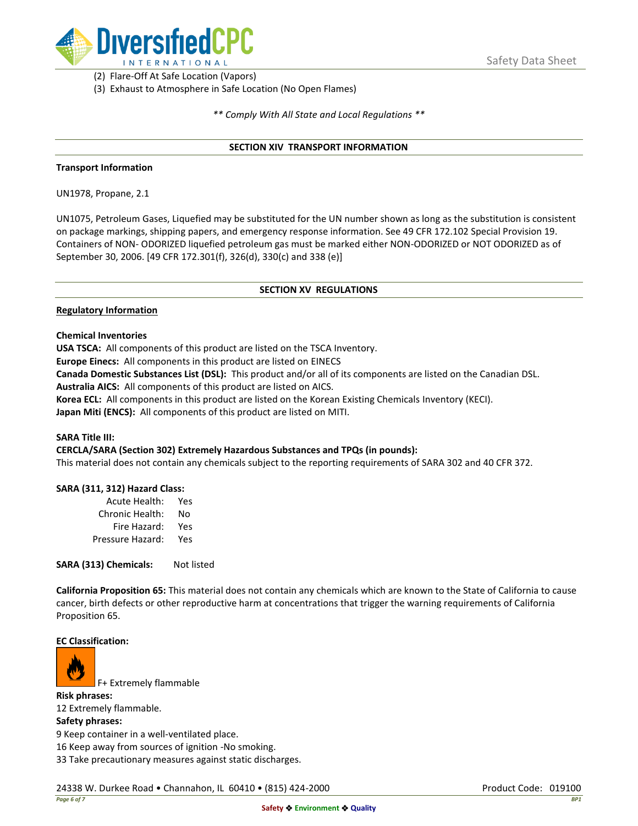

(2) Flare-Off At Safe Location (Vapors)

(3) Exhaust to Atmosphere in Safe Location (No Open Flames)

*\*\* Comply With All State and Local Regulations \*\**

## **SECTION XIV TRANSPORT INFORMATION**

#### **Transport Information**

UN1978, Propane, 2.1

UN1075, Petroleum Gases, Liquefied may be substituted for the UN number shown as long as the substitution is consistent on package markings, shipping papers, and emergency response information. See 49 CFR 172.102 Special Provision 19. Containers of NON- ODORIZED liquefied petroleum gas must be marked either NON-ODORIZED or NOT ODORIZED as of September 30, 2006. [49 CFR 172.301(f), 326(d), 330(c) and 338 (e)]

## **SECTION XV REGULATIONS**

#### **Regulatory Information**

**Chemical Inventories**

**USA TSCA:** All components of this product are listed on the TSCA Inventory.

**Europe Einecs:** All components in this product are listed on EINECS

**Canada Domestic Substances List (DSL):** This product and/or all of its components are listed on the Canadian DSL.

**Australia AICS:** All components of this product are listed on AICS.

**Korea ECL:** All components in this product are listed on the Korean Existing Chemicals Inventory (KECI).

**Japan Miti (ENCS):** All components of this product are listed on MITI.

#### **SARA Title III:**

**CERCLA/SARA (Section 302) Extremely Hazardous Substances and TPQs (in pounds):**

This material does not contain any chemicals subject to the reporting requirements of SARA 302 and 40 CFR 372.

## **SARA (311, 312) Hazard Class:**

| Acute Health:    | Yes |
|------------------|-----|
| Chronic Health:  | No  |
| Fire Hazard:     | Yes |
| Pressure Hazard: | Yes |

**SARA (313) Chemicals:** Not listed

**California Proposition 65:** This material does not contain any chemicals which are known to the State of California to cause cancer, birth defects or other reproductive harm at concentrations that trigger the warning requirements of California Proposition 65.

#### **EC Classification:**



F+ Extremely flammable

**Risk phrases:** 12 Extremely flammable. **Safety phrases:** 9 Keep container in a well-ventilated place.

16 Keep away from sources of ignition -No smoking.

33 Take precautionary measures against static discharges.

24338 W. Durkee Road • Channahon, IL 60410 • (815) 424-2000 Product Code: 019100